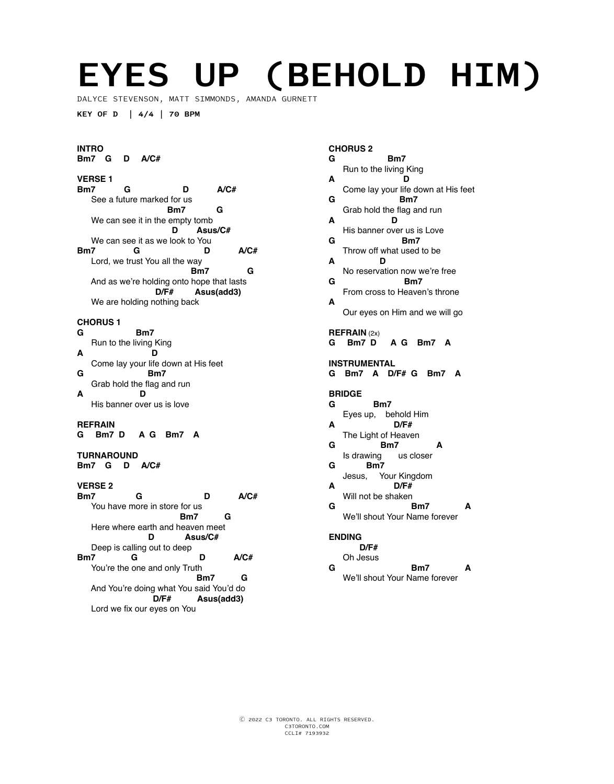# **EYES UP (BEHOLD HIM)**

DALYCE STEVENSON, MATT SIMMONDS, AMANDA GURNETT

**KEY OF D | 4/4 | 70 BPM**

#### **INTRO Bm7 G D A/C#**

#### **VERSE 1 Bm7 G D A/C#**  See a future marked for us<br>**Bm7 Bm7** G We can see it in the empty tomb  **D Asus/C#** We can see it as we look to You<br>**Bm7 G Bm7 G D A/C#**  Lord, we trust You all the way<br>**Bm7 Bm7** G And as we're holding onto hope that lasts<br> $D/F#$  Asus(add3) Asus(add3) We are holding nothing back

# **CHORUS 1**

- **G Bm7**  Run to the living King
- **A D**  Come lay your life down at His feet **G Bm7**
- Grab hold the flag and run **A D**
- His banner over us is love

#### **REFRAIN**

**G Bm7 D A G Bm7 A**

## **TURNAROUND**

**Bm7 G D A/C#** 

# **VERSE 2**

**Bm7 G D A/C#**  You have more in store for us **Bm7** G Here where earth and heaven meet  **D Asus/C#** Deep is calling out to deep **Bm7 G D A/C#**  You're the one and only Truth<br>**Bm7 Bm7** G And You're doing what You said You'd do  **D/F# Asus(add3)** Lord we fix our eyes on You

#### **CHORUS 2**

| G            | Bm7                                      |
|--------------|------------------------------------------|
|              | Run to the living King                   |
| Α            | D<br>Come lay your life down at His feet |
| G            | Bm7                                      |
| A            | Grab hold the flag and run<br>D          |
|              | His banner over us is Love               |
| G            | Bm7<br>Throw off what used to be         |
| A            | D                                        |
| G            | No reservation now we're free<br>Bm7     |
|              | From cross to Heaven's throne            |
| A            |                                          |
|              | Our eyes on Him and we will go           |
|              | <b>REFRAIN (2x)</b>                      |
| G            | Bm7 D<br>A G Bm7 A                       |
| INSTRUMENTAL |                                          |
|              |                                          |
|              | G Bm7 A D/F# G Bm7<br>A                  |
|              |                                          |
| G            | <b>BRIDGE</b><br>Bm7                     |
|              | Eyes up, behold Him                      |
| A            | D/F#                                     |
| G            | The Light of Heaven<br>Bm7<br>A          |
|              | Is drawing<br>us closer                  |
| G            | Bm7<br>Jesus, Your Kingdom               |
| А            | D/F#                                     |
| G            | Will not be shaken<br>Bm7<br>Δ           |
|              | We'll shout Your Name forever            |
|              | <b>ENDING</b>                            |
|              | D/F#                                     |
| G            | Oh Jesus<br>Bm7<br>A                     |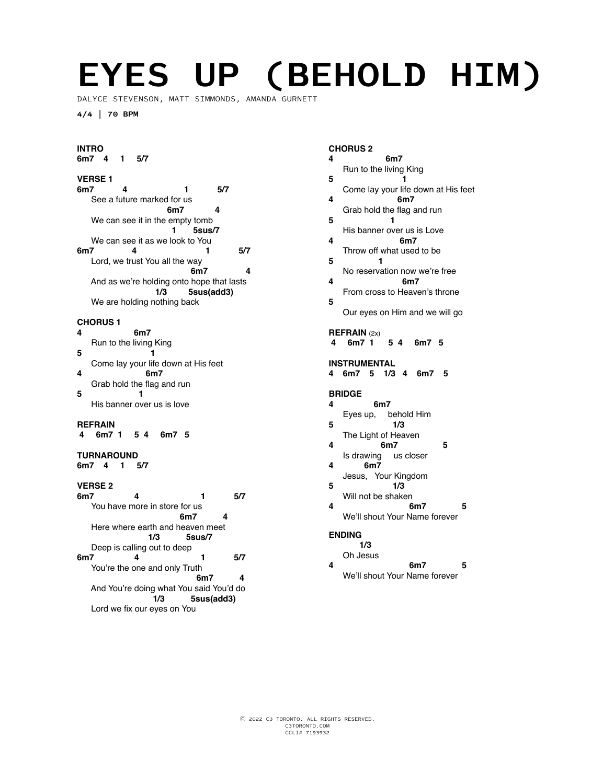# **EYES UP (BEHOLD HIM)**

DALYCE STEVENSON, MATT SIMMONDS, AMANDA GURNETT

**4/4 | 70 BPM**

#### **INTRO 6m7 4 1 5/7**

# **VERSE 1**

**6m7 4 1 5/7**  See a future marked for us  **6m7 4**  We can see it in the empty tomb  **1 5sus/7** We can see it as we look to You<br>6m7 4 **6m7 4 1 5/7**  Lord, we trust You all the way **6m7** 4 And as we're holding onto hope that lasts<br>1/3 5sus(add3)  **1/3 5sus(add3)** We are holding nothing back

# **CHORUS 1**

- **4 6m7**  Run to the living King
- **5 1**  Come lay your life down at His feet<br>4<br>6m7 **4 6m7**
- Grab hold the flag and run<br>5 1 **5 1**
- His banner over us is love

#### **REFRAIN**

**4 6m7 1 5 4 6m7 5**

#### **TURNAROUND**

**6m7 4 1 5/7** 

# **VERSE 2**

**6m7 4 1 5/7**  You have more in store for us  **6m7 4**  Here where earth and heaven meet  **1/3 5sus/7** Deep is calling out to deep **6m7 4 1 5/7**  You're the one and only Truth<br>6m7 **6m7** 4 And You're doing what You said You'd do  **1/3 5sus(add3)** Lord we fix our eyes on You

#### **CHORUS 2**

| 4                                         | 6m7                                                             |  |
|-------------------------------------------|-----------------------------------------------------------------|--|
| 5                                         | Run to the living King                                          |  |
| 4                                         | Come lay your life down at His feet<br>6m7                      |  |
|                                           | Grab hold the flag and run                                      |  |
| 5                                         | 1<br>His banner over us is Love                                 |  |
| 4                                         | 6m7<br>Throw off what used to be                                |  |
| 5                                         | 1<br>No reservation now we're free                              |  |
| 4                                         | 6m7<br>From cross to Heaven's throne                            |  |
| 5                                         |                                                                 |  |
|                                           | Our eyes on Him and we will go                                  |  |
| 4                                         | REFRAIN (2x)<br>6m7 1<br>5 4 6m7 5                              |  |
| INSTRUMENTAL<br>6m7 5 1/3 4 6m7<br>4<br>5 |                                                                 |  |
|                                           |                                                                 |  |
|                                           | <b>BRIDGE</b>                                                   |  |
| 4                                         | 6m7<br>behold Him<br>Eyes up,                                   |  |
| 5                                         | 1/3<br>The Light of Heaven                                      |  |
| 4                                         | 6m7<br>5<br>Is drawing us closer                                |  |
| 4                                         | 6m7                                                             |  |
| 5                                         | Jesus, Your Kingdom<br>1/3                                      |  |
| 4                                         | Will not be shaken<br>6m7<br>5<br>We'll shout Your Name forever |  |
|                                           | <b>ENDING</b>                                                   |  |
| 4                                         | 1/3<br>Oh Jesus<br>6m7<br>5                                     |  |